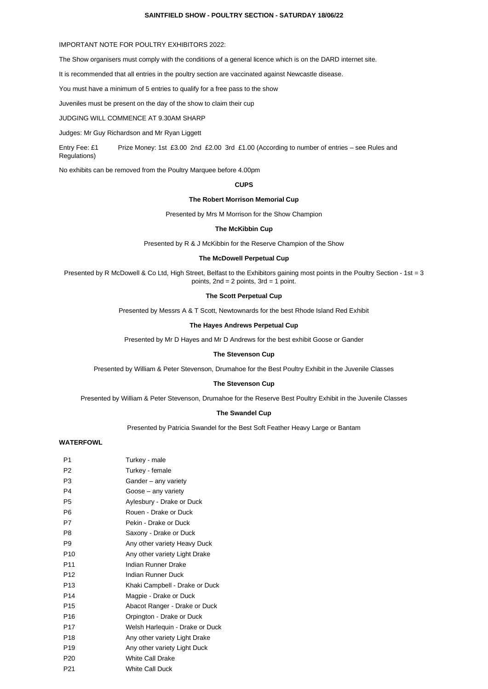#### **SAINTFIELD SHOW - POULTRY SECTION - SATURDAY 18/06/22**

### IMPORTANT NOTE FOR POULTRY EXHIBITORS 2022:

The Show organisers must comply with the conditions of a general licence which is on the DARD internet site.

It is recommended that all entries in the poultry section are vaccinated against Newcastle disease.

You must have a minimum of 5 entries to qualify for a free pass to the show

Juveniles must be present on the day of the show to claim their cup

JUDGING WILL COMMENCE AT 9.30AM SHARP

Judges: Mr Guy Richardson and Mr Ryan Liggett

Entry Fee: £1 Prize Money: 1st £3.00 2nd £2.00 3rd £1.00 (According to number of entries – see Rules and Regulations)

No exhibits can be removed from the Poultry Marquee before 4.00pm

### **CUPS**

#### **The Robert Morrison Memorial Cup**

Presented by Mrs M Morrison for the Show Champion

#### **The McKibbin Cup**

Presented by R & J McKibbin for the Reserve Champion of the Show

### **The McDowell Perpetual Cup**

Presented by R McDowell & Co Ltd, High Street, Belfast to the Exhibitors gaining most points in the Poultry Section - 1st = 3 points, 2nd = 2 points, 3rd = 1 point.

#### **The Scott Perpetual Cup**

Presented by Messrs A & T Scott, Newtownards for the best Rhode Island Red Exhibit

#### **The Hayes Andrews Perpetual Cup**

Presented by Mr D Hayes and Mr D Andrews for the best exhibit Goose or Gander

### **The Stevenson Cup**

Presented by William & Peter Stevenson, Drumahoe for the Best Poultry Exhibit in the Juvenile Classes

#### **The Stevenson Cup**

Presented by William & Peter Stevenson, Drumahoe for the Reserve Best Poultry Exhibit in the Juvenile Classes

#### **The Swandel Cup**

#### Presented by Patricia Swandel for the Best Soft Feather Heavy Large or Bantam

# **WATERFOWL**

| P <sub>1</sub>  | Turkey - male                   |
|-----------------|---------------------------------|
| P <sub>2</sub>  | Turkey - female                 |
| P3              | Gander - any variety            |
| P <sub>4</sub>  | Goose – any variety             |
| P <sub>5</sub>  | Aylesbury - Drake or Duck       |
| P <sub>6</sub>  | Rouen - Drake or Duck           |
| P7              | Pekin - Drake or Duck           |
| P <sub>8</sub>  | Saxony - Drake or Duck          |
| P <sub>9</sub>  | Any other variety Heavy Duck    |
| P10             | Any other variety Light Drake   |
| P <sub>11</sub> | Indian Runner Drake             |
| P <sub>12</sub> | Indian Runner Duck              |
| P <sub>13</sub> | Khaki Campbell - Drake or Duck  |
| P <sub>14</sub> | Magpie - Drake or Duck          |
| P <sub>15</sub> | Abacot Ranger - Drake or Duck   |
| P <sub>16</sub> | Orpington - Drake or Duck       |
| P <sub>17</sub> | Welsh Harlequin - Drake or Duck |
| P <sub>18</sub> | Any other variety Light Drake   |
| P <sub>19</sub> | Any other variety Light Duck    |
| P <sub>20</sub> | <b>White Call Drake</b>         |
| P <sub>21</sub> | White Call Duck                 |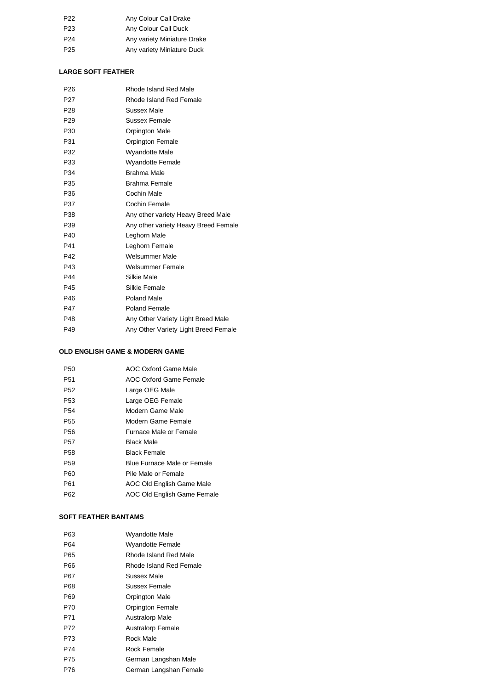| P <sub>22</sub> | Any Colour Call Drake       |
|-----------------|-----------------------------|
| P <sub>23</sub> | Any Colour Call Duck        |
| P <sub>24</sub> | Any variety Miniature Drake |
| P <sub>25</sub> | Any variety Miniature Duck  |

# **LARGE SOFT FEATHER**

| P <sub>26</sub> | Rhode Island Red Male                |
|-----------------|--------------------------------------|
| P <sub>27</sub> | Rhode Island Red Female              |
| P <sub>28</sub> | Sussex Male                          |
| P <sub>29</sub> | Sussex Female                        |
| P <sub>30</sub> | Orpington Male                       |
| P31             | Orpington Female                     |
| P32             | <b>Wyandotte Male</b>                |
| P33             | <b>Wyandotte Female</b>              |
| P34             | Brahma Male                          |
| P <sub>35</sub> | Brahma Female                        |
| P36             | Cochin Male                          |
| P37             | Cochin Female                        |
| P38             | Any other variety Heavy Breed Male   |
| P39             | Any other variety Heavy Breed Female |
| P40             | Leghorn Male                         |
| P41             | Leghorn Female                       |
| P42             | Welsummer Male                       |
| P43             | Welsummer Female                     |
| P44             | Silkie Male                          |
| P45             | Silkie Female                        |
| P46             | Poland Male                          |
| <b>P47</b>      | Poland Female                        |
| P48             | Any Other Variety Light Breed Male   |
| P49             | Any Other Variety Light Breed Female |

### **OLD ENGLISH GAME & MODERN GAME**

| P <sub>50</sub> | <b>AOC Oxford Game Male</b>   |
|-----------------|-------------------------------|
| P <sub>51</sub> | AOC Oxford Game Female        |
| P <sub>52</sub> | Large OEG Male                |
| P <sub>53</sub> | Large OEG Female              |
| P <sub>54</sub> | Modern Game Male              |
| P <sub>55</sub> | Modern Game Female            |
| P <sub>56</sub> | <b>Furnace Male or Female</b> |
| P <sub>57</sub> | <b>Black Male</b>             |
| P <sub>58</sub> | <b>Black Female</b>           |
| P <sub>59</sub> | Blue Furnace Male or Female   |
| P60             | Pile Male or Female           |
| P61             | AOC Old English Game Male     |
| P62             | AOC Old English Game Female   |

# **SOFT FEATHER BANTAMS**

| P63 | Wyandotte Male          |
|-----|-------------------------|
| P64 | Wyandotte Female        |
| P65 | Rhode Island Red Male   |
| P66 | Rhode Island Red Female |
| P67 | Sussex Male             |
| P68 | Sussex Female           |
| P69 | Orpington Male          |
| P70 | <b>Orpington Female</b> |
| P71 | Australorp Male         |
| P72 | Australorp Female       |
| P73 | Rock Male               |
| P74 | Rock Female             |
| P75 | German Langshan Male    |
| P76 | German Langshan Female  |